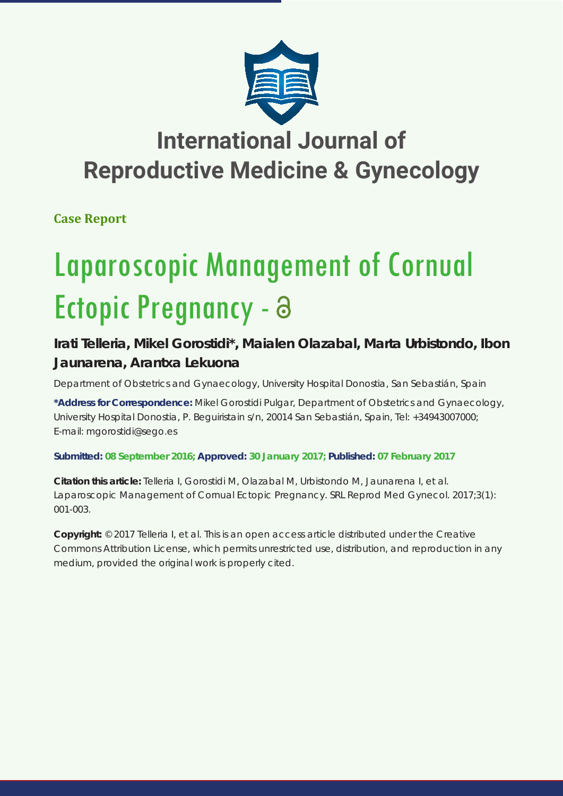

## **International Journal of Reproductive Medicine & Gynecology**

**Case Report**

# Laparoscopic Management of Cornual Ectopic Pregnancy - a

### **Irati Telleria, Mikel Gorostidi\*, Maialen Olazabal, Marta Urbistondo, Ibon Jaunarena, Arantxa Lekuona**

*Department of Obstetrics and Gynaecology, University Hospital Donostia, San Sebastián, Spain*

**\*Address for Correspondence:** Mikel Gorostidi Pulgar, Department of Obstetrics and Gynaecology, University Hospital Donostia, P. Beguiristain s/n, 20014 San Sebastián, Spain, Tel: +34943007000; E-mail: mgorostidi@sego.es

**Submitted: 08 September 2016; Approved: 30 January 2017; Published: 07 February 2017**

**Citation this article:** Telleria I, Gorostidi M, Olazabal M, Urbistondo M, Jaunarena I, et al. Laparoscopic Management of Cornual Ectopic Pregnancy. SRL Reprod Med Gynecol. 2017;3(1): 001-003.

**Copyright:** © 2017 Telleria I, et al. This is an open access article distributed under the Creative Commons Attribution License, which permits unrestricted use, distribution, and reproduction in any medium, provided the original work is properly cited.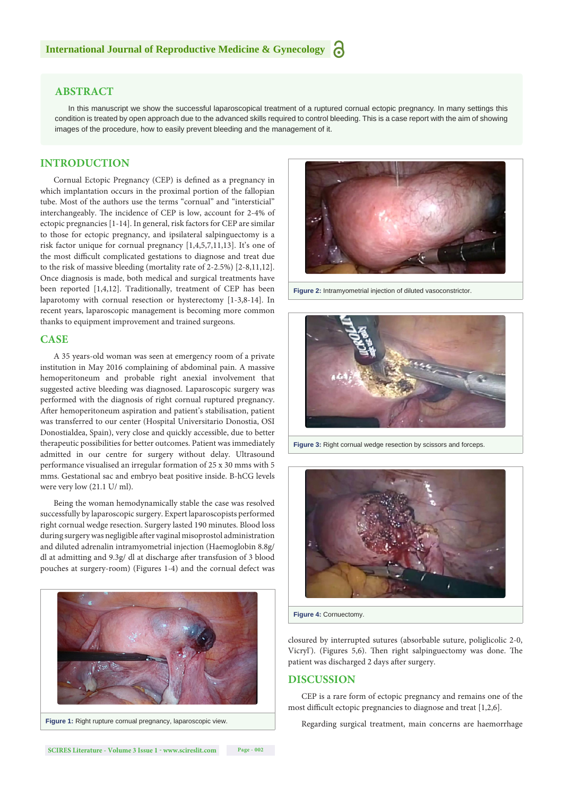#### **ABSTRACT**

In this manuscript we show the successful laparoscopical treatment of a ruptured cornual ectopic pregnancy. In many settings this condition is treated by open approach due to the advanced skills required to control bleeding. This is a case report with the aim of showing images of the procedure, how to easily prevent bleeding and the management of it.

#### **INTRODUCTION**

Cornual Ectopic Pregnancy (CEP) is defined as a pregnancy in which implantation occurs in the proximal portion of the fallopian tube. Most of the authors use the terms "cornual" and "intersticial" interchangeably. The incidence of CEP is low, account for 2-4% of ectopic pregnancies [1-14]. In general, risk factors for CEP are similar to those for ectopic pregnancy, and ipsilateral salpinguectomy is a risk factor unique for cornual pregnancy [1,4,5,7,11,13]. It's one of the most difficult complicated gestations to diagnose and treat due to the risk of massive bleeding (mortality rate of 2-2.5%) [2-8,11,12]. Once diagnosis is made, both medical and surgical treatments have been reported [1,4,12]. Traditionally, treatment of CEP has been laparotomy with cornual resection or hysterectomy [1-3,8-14]. In recent years, laparoscopic management is becoming more common thanks to equipment improvement and trained surgeons.

#### **CASE**

A 35 years-old woman was seen at emergency room of a private institution in May 2016 complaining of abdominal pain. A massive hemoperitoneum and probable right anexial involvement that suggested active bleeding was diagnosed. Laparoscopic surgery was performed with the diagnosis of right cornual ruptured pregnancy. After hemoperitoneum aspiration and patient's stabilisation, patient was transferred to our center (Hospital Universitario Donostia, OSI Donostialdea, Spain), very close and quickly accessible, due to better therapeutic possibilities for better outcomes. Patient was immediately admitted in our centre for surgery without delay. Ultrasound performance visualised an irregular formation of 25 x 30 mms with 5 mms. Gestational sac and embryo beat positive inside. B-hCG levels were very low (21.1 U/ ml).

Being the woman hemodynamically stable the case was resolved successfully by laparoscopic surgery. Expert laparoscopists performed right cornual wedge resection. Surgery lasted 190 minutes. Blood loss during surgery was negligible after vaginal misoprostol administration and diluted adrenalin intramyometrial injection (Haemoglobin 8.8g/ dl at admitting and 9.3g/ dl at discharge after transfusion of 3 blood pouches at surgery-room) (Figures 1-4) and the cornual defect was





**Figure 2:** Intramyometrial injection of diluted vasoconstrictor.



**Figure 3:** Right cornual wedge resection by scissors and forceps.



closured by interrupted sutures (absorbable suture, poliglicolic 2-0, Vicryl'). (Figures 5,6). Then right salpinguectomy was done. The patient was discharged 2 days after surgery.

#### **DISCUSSION**

CEP is a rare form of ectopic pregnancy and remains one of the most difficult ectopic pregnancies to diagnose and treat [1,2,6].

Regarding surgical treatment, main concerns are haemorrhage